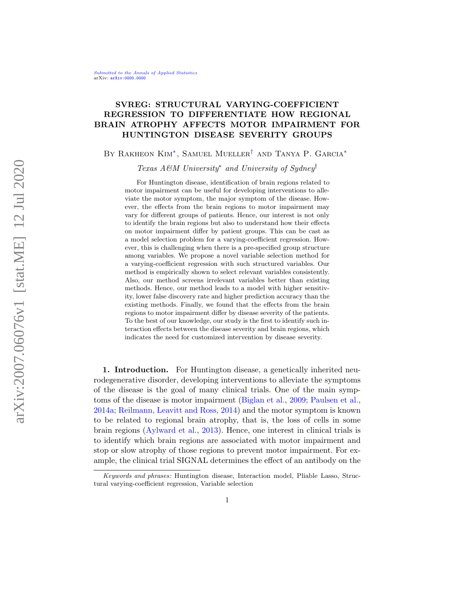# SVREG: STRUCTURAL VARYING-COEFFICIENT REGRESSION TO DIFFERENTIATE HOW REGIONAL BRAIN ATROPHY AFFECTS MOTOR IMPAIRMENT FOR HUNTINGTON DISEASE SEVERITY GROUPS

BY RAKHEON KIM<sup>\*</sup>, SAMUEL MUELLER<sup>[†](#page-0-1)</sup> AND TANYA P. GARCIA<sup>\*</sup>

<span id="page-0-1"></span><span id="page-0-0"></span>Texas A&M University<sup>\*</sup> and University of Sydney<sup>†</sup>

For Huntington disease, identification of brain regions related to motor impairment can be useful for developing interventions to alleviate the motor symptom, the major symptom of the disease. However, the effects from the brain regions to motor impairment may vary for different groups of patients. Hence, our interest is not only to identify the brain regions but also to understand how their effects on motor impairment differ by patient groups. This can be cast as a model selection problem for a varying-coefficient regression. However, this is challenging when there is a pre-specified group structure among variables. We propose a novel variable selection method for a varying-coefficient regression with such structured variables. Our method is empirically shown to select relevant variables consistently. Also, our method screens irrelevant variables better than existing methods. Hence, our method leads to a model with higher sensitivity, lower false discovery rate and higher prediction accuracy than the existing methods. Finally, we found that the effects from the brain regions to motor impairment differ by disease severity of the patients. To the best of our knowledge, our study is the first to identify such interaction effects between the disease severity and brain regions, which indicates the need for customized intervention by disease severity.

1. Introduction. For Huntington disease, a genetically inherited neurodegenerative disorder, developing interventions to alleviate the symptoms of the disease is the goal of many clinical trials. One of the main symptoms of the disease is motor impairment [\(Biglan et al.,](#page-24-0) [2009;](#page-24-0) [Paulsen et al.,](#page-25-0) [2014a;](#page-25-0) [Reilmann, Leavitt and Ross,](#page-25-1) [2014\)](#page-25-1) and the motor symptom is known to be related to regional brain atrophy, that is, the loss of cells in some brain regions [\(Aylward et al.,](#page-24-1) [2013\)](#page-24-1). Hence, one interest in clinical trials is to identify which brain regions are associated with motor impairment and stop or slow atrophy of those regions to prevent motor impairment. For example, the clinical trial SIGNAL determines the effect of an antibody on the

Keywords and phrases: Huntington disease, Interaction model, Pliable Lasso, Structural varying-coefficient regression, Variable selection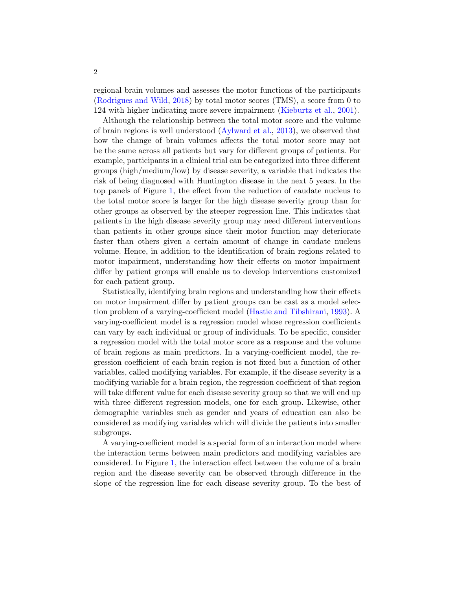regional brain volumes and assesses the motor functions of the participants [\(Rodrigues and Wild,](#page-25-2) [2018\)](#page-25-2) by total motor scores (TMS), a score from 0 to 124 with higher indicating more severe impairment [\(Kieburtz et al.,](#page-24-2) [2001\)](#page-24-2).

Although the relationship between the total motor score and the volume of brain regions is well understood [\(Aylward et al.,](#page-24-1) [2013\)](#page-24-1), we observed that how the change of brain volumes affects the total motor score may not be the same across all patients but vary for different groups of patients. For example, participants in a clinical trial can be categorized into three different groups (high/medium/low) by disease severity, a variable that indicates the risk of being diagnosed with Huntington disease in the next 5 years. In the top panels of Figure [1,](#page-2-0) the effect from the reduction of caudate nucleus to the total motor score is larger for the high disease severity group than for other groups as observed by the steeper regression line. This indicates that patients in the high disease severity group may need different interventions than patients in other groups since their motor function may deteriorate faster than others given a certain amount of change in caudate nucleus volume. Hence, in addition to the identification of brain regions related to motor impairment, understanding how their effects on motor impairment differ by patient groups will enable us to develop interventions customized for each patient group.

Statistically, identifying brain regions and understanding how their effects on motor impairment differ by patient groups can be cast as a model selection problem of a varying-coefficient model [\(Hastie and Tibshirani,](#page-24-3) [1993\)](#page-24-3). A varying-coefficient model is a regression model whose regression coefficients can vary by each individual or group of individuals. To be specific, consider a regression model with the total motor score as a response and the volume of brain regions as main predictors. In a varying-coefficient model, the regression coefficient of each brain region is not fixed but a function of other variables, called modifying variables. For example, if the disease severity is a modifying variable for a brain region, the regression coefficient of that region will take different value for each disease severity group so that we will end up with three different regression models, one for each group. Likewise, other demographic variables such as gender and years of education can also be considered as modifying variables which will divide the patients into smaller subgroups.

A varying-coefficient model is a special form of an interaction model where the interaction terms between main predictors and modifying variables are considered. In Figure [1,](#page-2-0) the interaction effect between the volume of a brain region and the disease severity can be observed through difference in the slope of the regression line for each disease severity group. To the best of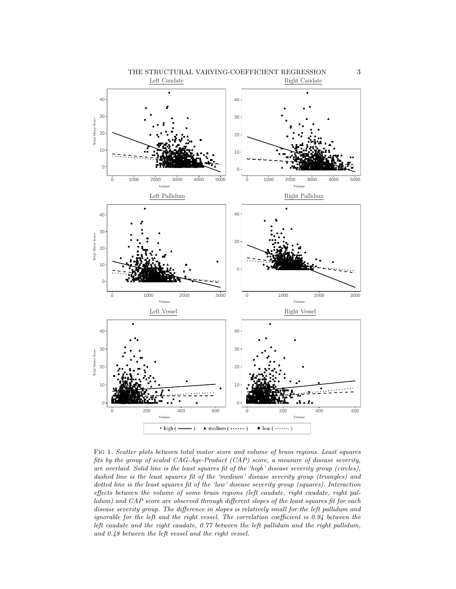

<span id="page-2-0"></span>Fig 1. Scatter plots between total motor score and volume of brain regions. Least squares fits by the group of scaled CAG-Age-Product (CAP) score, a measure of disease severity, are overlaid. Solid line is the least squares fit of the 'high' disease severity group (circles), dashed line is the least squares fit of the 'medium' disease severity group (triangles) and dotted line is the least squares fit of the 'low' disease severity group (squares). Interaction effects between the volume of some brain regions (left caudate, right caudate, right pallidum) and CAP score are observed through different slopes of the least squares fit for each disease severity group. The difference in slopes is relatively small for the left pallidum and ignorable for the left and the right vessel. The correlation coefficient is 0.94 between the left caudate and the right caudate, 0.77 between the left pallidum and the right pallidum, and 0.48 between the left vessel and the right vessel.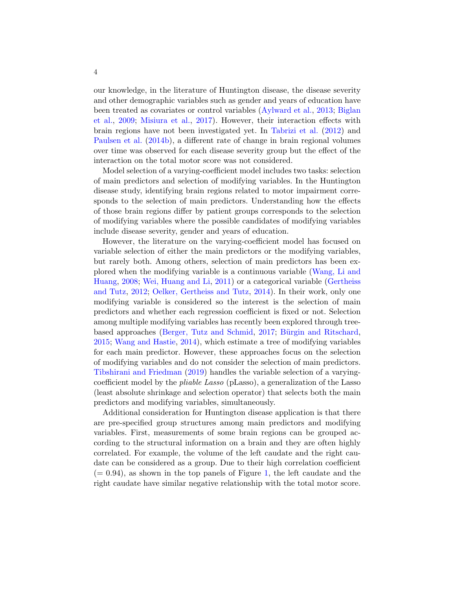our knowledge, in the literature of Huntington disease, the disease severity and other demographic variables such as gender and years of education have been treated as covariates or control variables [\(Aylward et al.,](#page-24-1) [2013;](#page-24-1) [Biglan](#page-24-0) [et al.,](#page-24-0) [2009;](#page-24-0) [Misiura et al.,](#page-24-4) [2017\)](#page-24-4). However, their interaction effects with brain regions have not been investigated yet. In [Tabrizi et al.](#page-25-3) [\(2012\)](#page-25-3) and [Paulsen et al.](#page-25-4) [\(2014b\)](#page-25-4), a different rate of change in brain regional volumes over time was observed for each disease severity group but the effect of the interaction on the total motor score was not considered.

Model selection of a varying-coefficient model includes two tasks: selection of main predictors and selection of modifying variables. In the Huntington disease study, identifying brain regions related to motor impairment corresponds to the selection of main predictors. Understanding how the effects of those brain regions differ by patient groups corresponds to the selection of modifying variables where the possible candidates of modifying variables include disease severity, gender and years of education.

However, the literature on the varying-coefficient model has focused on variable selection of either the main predictors or the modifying variables, but rarely both. Among others, selection of main predictors has been explored when the modifying variable is a continuous variable [\(Wang, Li and](#page-25-5) [Huang,](#page-25-5) [2008;](#page-25-5) [Wei, Huang and Li,](#page-25-6) [2011\)](#page-25-6) or a categorical variable [\(Gertheiss](#page-24-5) [and Tutz,](#page-24-5) [2012;](#page-24-5) [Oelker, Gertheiss and Tutz,](#page-24-6) [2014\)](#page-24-6). In their work, only one modifying variable is considered so the interest is the selection of main predictors and whether each regression coefficient is fixed or not. Selection among multiple modifying variables has recently been explored through tree-based approaches [\(Berger, Tutz and Schmid,](#page-24-7) [2017;](#page-24-7) Bürgin and Ritschard, [2015;](#page-24-8) [Wang and Hastie,](#page-25-7) [2014\)](#page-25-7), which estimate a tree of modifying variables for each main predictor. However, these approaches focus on the selection of modifying variables and do not consider the selection of main predictors. [Tibshirani and Friedman](#page-25-8) [\(2019\)](#page-25-8) handles the variable selection of a varyingcoefficient model by the pliable Lasso (pLasso), a generalization of the Lasso (least absolute shrinkage and selection operator) that selects both the main predictors and modifying variables, simultaneously.

Additional consideration for Huntington disease application is that there are pre-specified group structures among main predictors and modifying variables. First, measurements of some brain regions can be grouped according to the structural information on a brain and they are often highly correlated. For example, the volume of the left caudate and the right caudate can be considered as a group. Due to their high correlation coefficient  $(= 0.94)$ , as shown in the top panels of Figure [1,](#page-2-0) the left caudate and the right caudate have similar negative relationship with the total motor score.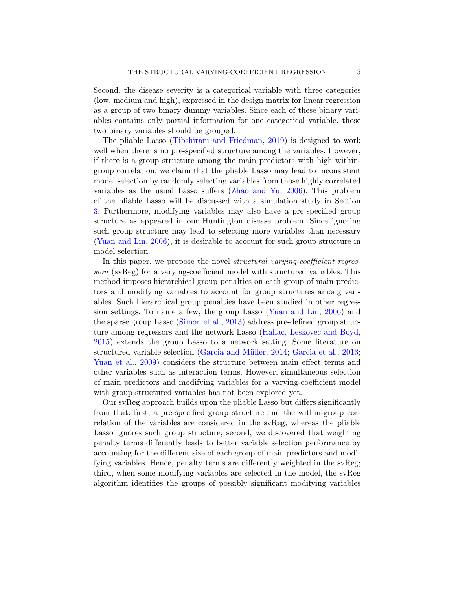Second, the disease severity is a categorical variable with three categories (low, medium and high), expressed in the design matrix for linear regression as a group of two binary dummy variables. Since each of these binary variables contains only partial information for one categorical variable, those two binary variables should be grouped.

The pliable Lasso [\(Tibshirani and Friedman,](#page-25-8) [2019\)](#page-25-8) is designed to work well when there is no pre-specified structure among the variables. However, if there is a group structure among the main predictors with high withingroup correlation, we claim that the pliable Lasso may lead to inconsistent model selection by randomly selecting variables from those highly correlated variables as the usual Lasso suffers [\(Zhao and Yu,](#page-25-9) [2006\)](#page-25-9). This problem of the pliable Lasso will be discussed with a simulation study in Section [3.](#page-10-0) Furthermore, modifying variables may also have a pre-specified group structure as appeared in our Huntington disease problem. Since ignoring such group structure may lead to selecting more variables than necessary [\(Yuan and Lin,](#page-25-10) [2006\)](#page-25-10), it is desirable to account for such group structure in model selection.

In this paper, we propose the novel *structural varying-coefficient regres*sion (svReg) for a varying-coefficient model with structured variables. This method imposes hierarchical group penalties on each group of main predictors and modifying variables to account for group structures among variables. Such hierarchical group penalties have been studied in other regression settings. To name a few, the group Lasso [\(Yuan and Lin,](#page-25-10) [2006\)](#page-25-10) and the sparse group Lasso [\(Simon et al.,](#page-25-11) [2013\)](#page-25-11) address pre-defined group structure among regressors and the network Lasso [\(Hallac, Leskovec and Boyd,](#page-24-9) [2015\)](#page-24-9) extends the group Lasso to a network setting. Some literature on structured variable selection (Garcia and Müller, [2014;](#page-24-10) [Garcia et al.,](#page-24-11) [2013;](#page-24-11) [Yuan et al.,](#page-25-12) [2009\)](#page-25-12) considers the structure between main effect terms and other variables such as interaction terms. However, simultaneous selection of main predictors and modifying variables for a varying-coefficient model with group-structured variables has not been explored yet.

Our svReg approach builds upon the pliable Lasso but differs significantly from that: first, a pre-specified group structure and the within-group correlation of the variables are considered in the svReg, whereas the pliable Lasso ignores such group structure; second, we discovered that weighting penalty terms differently leads to better variable selection performance by accounting for the different size of each group of main predictors and modifying variables. Hence, penalty terms are differently weighted in the svReg; third, when some modifying variables are selected in the model, the svReg algorithm identifies the groups of possibly significant modifying variables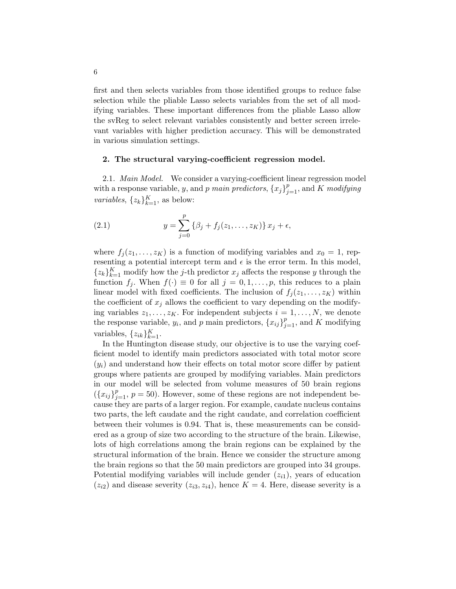first and then selects variables from those identified groups to reduce false selection while the pliable Lasso selects variables from the set of all modifying variables. These important differences from the pliable Lasso allow the svReg to select relevant variables consistently and better screen irrelevant variables with higher prediction accuracy. This will be demonstrated in various simulation settings.

## <span id="page-5-0"></span>2. The structural varying-coefficient regression model.

2.1. Main Model. We consider a varying-coefficient linear regression model with a response variable, y, and p main predictors,  ${x_j}_{j=1}^p$ , and K modifying *variables*,  $\{z_k\}_{k=1}^K$ , as below:

<span id="page-5-1"></span>(2.1) 
$$
y = \sum_{j=0}^{p} \{ \beta_j + f_j(z_1, ..., z_K) \} x_j + \epsilon,
$$

where  $f_i(z_1,\ldots,z_K)$  is a function of modifying variables and  $x_0 = 1$ , representing a potential intercept term and  $\epsilon$  is the error term. In this model,  $\{z_k\}_{k=1}^K$  modify how the j-th predictor  $x_j$  affects the response y through the function  $f_j$ . When  $f(\cdot) \equiv 0$  for all  $j = 0, 1, \ldots, p$ , this reduces to a plain linear model with fixed coefficients. The inclusion of  $f_j(z_1, \ldots, z_K)$  within the coefficient of  $x_j$  allows the coefficient to vary depending on the modifying variables  $z_1, \ldots, z_K$ . For independent subjects  $i = 1, \ldots, N$ , we denote the response variable,  $y_i$ , and p main predictors,  $\{x_{ij}\}_{j=1}^p$ , and K modifying variables,  $\{z_{ik}\}_{k=1}^K$ .

In the Huntington disease study, our objective is to use the varying coefficient model to identify main predictors associated with total motor score  $(y_i)$  and understand how their effects on total motor score differ by patient groups where patients are grouped by modifying variables. Main predictors in our model will be selected from volume measures of 50 brain regions  $({x_{ij}}_{j=1}^p, p=50)$ . However, some of these regions are not independent because they are parts of a larger region. For example, caudate nucleus contains two parts, the left caudate and the right caudate, and correlation coefficient between their volumes is 0.94. That is, these measurements can be considered as a group of size two according to the structure of the brain. Likewise, lots of high correlations among the brain regions can be explained by the structural information of the brain. Hence we consider the structure among the brain regions so that the 50 main predictors are grouped into 34 groups. Potential modifying variables will include gender  $(z_{i1})$ , years of education  $(z_{i2})$  and disease severity  $(z_{i3}, z_{i4})$ , hence  $K = 4$ . Here, disease severity is a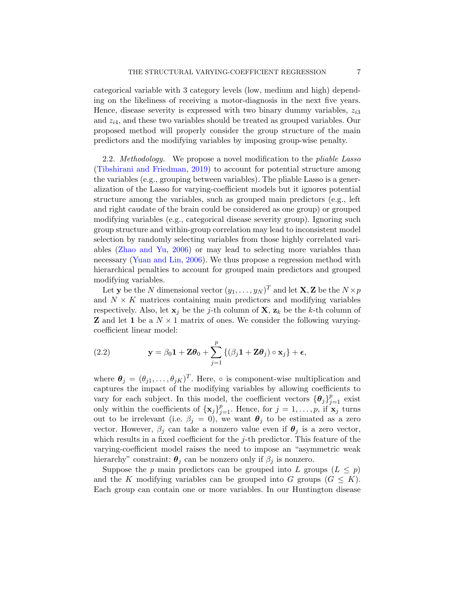categorical variable with 3 category levels (low, medium and high) depending on the likeliness of receiving a motor-diagnosis in the next five years. Hence, disease severity is expressed with two binary dummy variables,  $z_{i3}$ and  $z_{i4}$ , and these two variables should be treated as grouped variables. Our proposed method will properly consider the group structure of the main predictors and the modifying variables by imposing group-wise penalty.

2.2. Methodology. We propose a novel modification to the *pliable Lasso* [\(Tibshirani and Friedman,](#page-25-8) [2019\)](#page-25-8) to account for potential structure among the variables (e.g., grouping between variables). The pliable Lasso is a generalization of the Lasso for varying-coefficient models but it ignores potential structure among the variables, such as grouped main predictors (e.g., left and right caudate of the brain could be considered as one group) or grouped modifying variables (e.g., categorical disease severity group). Ignoring such group structure and within-group correlation may lead to inconsistent model selection by randomly selecting variables from those highly correlated variables [\(Zhao and Yu,](#page-25-9) [2006\)](#page-25-9) or may lead to selecting more variables than necessary [\(Yuan and Lin,](#page-25-10) [2006\)](#page-25-10). We thus propose a regression method with hierarchical penalties to account for grouped main predictors and grouped modifying variables.

Let **y** be the N dimensional vector  $(y_1, \ldots, y_N)^T$  and let  $\mathbf{X}, \mathbf{Z}$  be the  $N \times p$ and  $N \times K$  matrices containing main predictors and modifying variables respectively. Also, let  $x_j$  be the j-th column of  $X$ ,  $z_k$  be the k-th column of **Z** and let 1 be a  $N \times 1$  matrix of ones. We consider the following varyingcoefficient linear model:

<span id="page-6-0"></span>(2.2) 
$$
\mathbf{y} = \beta_0 \mathbf{1} + \mathbf{Z} \boldsymbol{\theta}_0 + \sum_{j=1}^p \left\{ (\beta_j \mathbf{1} + \mathbf{Z} \boldsymbol{\theta}_j) \circ \mathbf{x}_j \right\} + \boldsymbol{\epsilon},
$$

where  $\theta_j = (\theta_{j1}, \dots, \theta_{jK})^T$ . Here,  $\circ$  is component-wise multiplication and captures the impact of the modifying variables by allowing coefficients to vary for each subject. In this model, the coefficient vectors  ${\{\theta_j\}}_{j=1}^p$  exist only within the coefficients of  $\{x_j\}_{j=1}^p$ . Hence, for  $j=1,\ldots,p$ , if  $x_j$  turns out to be irrelevant (i.e.  $\beta_j = 0$ ), we want  $\theta_j$  to be estimated as a zero vector. However,  $\beta_i$  can take a nonzero value even if  $\theta_i$  is a zero vector, which results in a fixed coefficient for the  $j$ -th predictor. This feature of the varying-coefficient model raises the need to impose an "asymmetric weak hierarchy" constraint:  $\theta_i$  can be nonzero only if  $\beta_i$  is nonzero.

Suppose the p main predictors can be grouped into L groups  $(L \leq p)$ and the K modifying variables can be grouped into G groups  $(G \leq K)$ . Each group can contain one or more variables. In our Huntington disease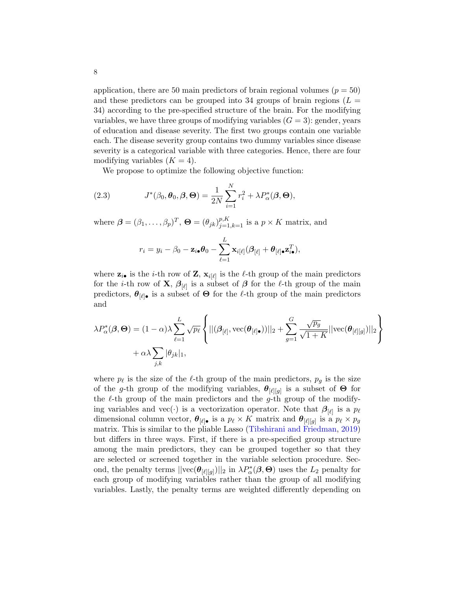application, there are 50 main predictors of brain regional volumes ( $p = 50$ ) and these predictors can be grouped into 34 groups of brain regions  $(L =$ 34) according to the pre-specified structure of the brain. For the modifying variables, we have three groups of modifying variables  $(G = 3)$ : gender, years of education and disease severity. The first two groups contain one variable each. The disease severity group contains two dummy variables since disease severity is a categorical variable with three categories. Hence, there are four modifying variables  $(K = 4)$ .

<span id="page-7-0"></span>We propose to optimize the following objective function:

(2.3) 
$$
J^*(\beta_0, \boldsymbol{\theta}_0, \boldsymbol{\beta}, \boldsymbol{\Theta}) = \frac{1}{2N} \sum_{i=1}^N r_i^2 + \lambda P_\alpha^*(\boldsymbol{\beta}, \boldsymbol{\Theta}),
$$

where  $\boldsymbol{\beta} = (\beta_1, \ldots, \beta_p)^T$ ,  $\boldsymbol{\Theta} = (\theta_{jk})_{j=1,k=1}^{p,K}$  is a  $p \times K$  matrix, and

$$
r_i = y_i - \beta_0 - \mathbf{z}_{i\bullet} \boldsymbol{\theta}_0 - \sum_{\ell=1}^L \mathbf{x}_{i[\ell]} (\boldsymbol{\beta}_{[\ell]} + \boldsymbol{\theta}_{[\ell]\bullet} \mathbf{z}_{i\bullet}^T),
$$

where  $z_{i\bullet}$  is the *i*-th row of Z,  $x_{i[\ell]}$  is the  $\ell$ -th group of the main predictors for the *i*-th row of **X**,  $\beta_{\lbrack \ell \rbrack}$  is a subset of  $\beta$  for the  $\ell$ -th group of the main predictors,  $\boldsymbol{\theta}_{[\ell]}$ • is a subset of  $\boldsymbol{\Theta}$  for the  $\ell$ -th group of the main predictors and

$$
\lambda P_{\alpha}^{*}(\boldsymbol{\beta},\boldsymbol{\Theta}) = (1-\alpha)\lambda \sum_{\ell=1}^{L} \sqrt{p_{\ell}} \left\{ ||(\boldsymbol{\beta}_{[\ell]},\text{vec}(\boldsymbol{\theta}_{[\ell]\bullet}))||_2 + \sum_{g=1}^{G} \frac{\sqrt{p_g}}{\sqrt{1+K}} ||\text{vec}(\boldsymbol{\theta}_{[\ell][g]})||_2 \right\} + \alpha \lambda \sum_{j,k} |\theta_{jk}|_1,
$$

where  $p_\ell$  is the size of the  $\ell$ -th group of the main predictors,  $p_g$  is the size of the g-th group of the modifying variables,  $\boldsymbol{\theta}_{[\ell][g]}$  is a subset of  $\boldsymbol{\Theta}$  for the  $\ell$ -th group of the main predictors and the g-th group of the modifying variables and vec(·) is a vectorization operator. Note that  $\beta_{\lbrack \ell \rbrack}$  is a  $p_\ell$ dimensional column vector,  $\theta_{[\ell]}$  is a  $p_\ell \times K$  matrix and  $\theta_{[\ell][g]}$  is a  $p_\ell \times p_g$ matrix. This is similar to the pliable Lasso [\(Tibshirani and Friedman,](#page-25-8) [2019\)](#page-25-8) but differs in three ways. First, if there is a pre-specified group structure among the main predictors, they can be grouped together so that they are selected or screened together in the variable selection procedure. Second, the penalty terms  $||\text{vec}(\theta_{[\ell][g]})||_2$  in  $\lambda P^*_{\alpha}(\beta, \Theta)$  uses the  $L_2$  penalty for each group of modifying variables rather than the group of all modifying variables. Lastly, the penalty terms are weighted differently depending on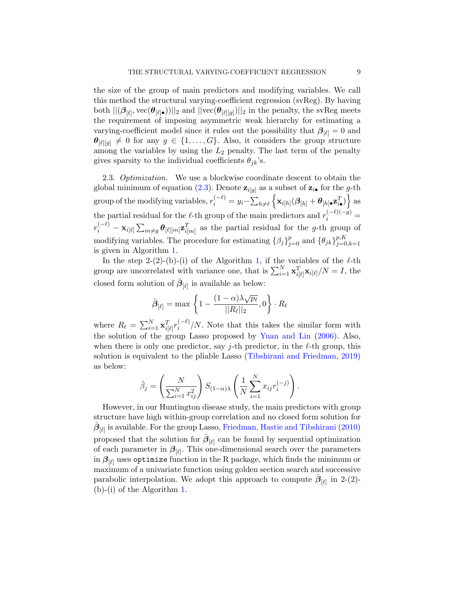the size of the group of main predictors and modifying variables. We call this method the structural varying-coefficient regression (svReg). By having both  $||(\beta_{[\ell]}, \text{vec}(\theta_{[\ell] \bullet}))||_2$  and  $||\text{vec}(\theta_{[\ell][g]})||_2$  in the penalty, the svReg meets the requirement of imposing asymmetric weak hierarchy for estimating a varying-coefficient model since it rules out the possibility that  $\beta_{\lbrack \ell \rbrack} = 0$  and  $\boldsymbol{\theta}_{[\ell][g]} \neq 0$  for any  $g \in \{1, \ldots, G\}$ . Also, it considers the group structure among the variables by using the  $L_2$  penalty. The last term of the penalty gives sparsity to the individual coefficients  $\theta_{jk}$ 's.

2.3. Optimization. We use a blockwise coordinate descent to obtain the global minimum of equation [\(2.3\)](#page-7-0). Denote  $\mathbf{z}_{i[g]}$  as a subset of  $\mathbf{z}_{i\bullet}$  for the *g*-th  $\text{group of the modifying variables, } r_i^{(-\ell)} = y_i - \sum_{h \neq \ell} \left\{ \mathbf{x}_{i[h]} (\boldsymbol{\beta}_{[h]} + \boldsymbol{\theta}_{[h] \bullet} \mathbf{z}_{i \bullet}^T ) \right\} \text{as}$ the partial residual for the  $\ell$ -th group of the main predictors and  $r_i^{(-\ell)(-g)}$  $r_i^{(-\ell)} - \mathbf{x}_{i[\ell]} \sum_{m \neq g} \boldsymbol{\theta}_{[\ell][m]} \mathbf{z}_{i[m]}^T$  as the partial residual for the g-th group of modifying variables. The procedure for estimating  $\{\beta_j\}_{j=0}^p$  and  $\{\theta_{jk}\}_{j=0}^{p,K}$  $j=0,k=1$ is given in Algorithm [1.](#page-9-0)

In the step 2-(2)-(b)-(i) of the Algorithm [1,](#page-9-0) if the variables of the  $\ell$ -th group are uncorrelated with variance one, that is  $\sum_{i=1}^{N} \mathbf{x}_{i[\ell]}^T \mathbf{x}_{i[\ell]}/N = I$ , the closed form solution of  $\hat{\boldsymbol{\beta}}_{\left|\ell\right|}$  is available as below:

$$
\hat{\boldsymbol{\beta}}_{[\ell]} = \max \left\{ 1 - \frac{(1-\alpha)\lambda\sqrt{p_\ell}}{||R_\ell||_2}, 0 \right\} \cdot R_\ell
$$

where  $R_{\ell} = \sum_{i=1}^{N} \mathbf{x}_{i[\ell]}^T r_i^{(-\ell)}$  $i^{(-\varepsilon)}/N$ . Note that this takes the similar form with the solution of the group Lasso proposed by [Yuan and Lin](#page-25-10) [\(2006\)](#page-25-10). Also, when there is only one predictor, say *j*-th predictor, in the  $\ell$ -th group, this solution is equivalent to the pliable Lasso [\(Tibshirani and Friedman,](#page-25-8) [2019\)](#page-25-8) as below:

$$
\hat{\beta}_j = \left(\frac{N}{\sum_{i=1}^N x_{ij}^2}\right) S_{(1-\alpha)\lambda} \left(\frac{1}{N} \sum_{i=1}^N x_{ij} r_i^{(-j)}\right).
$$

However, in our Huntington disease study, the main predictors with group structure have high within-group correlation and no closed form solution for  $\hat{\boldsymbol{\beta}}_{[\ell]}$  is available. For the group Lasso, [Friedman, Hastie and Tibshirani](#page-24-12) [\(2010\)](#page-24-12) proposed that the solution for  $\hat{\beta}_{\lbrack \ell \rbrack}$  can be found by sequential optimization of each parameter in  $\beta_{\lbrack \ell \rbrack}$ . This one-dimensional search over the parameters in  $\beta_{\lbrack \ell \rbrack}$  uses optimize function in the R package, which finds the minimum or maximum of a univariate function using golden section search and successive parabolic interpolation. We adopt this approach to compute  $\hat{\beta}_{[\ell]}$  in 2-(2)-(b)-(i) of the Algorithm [1.](#page-9-0)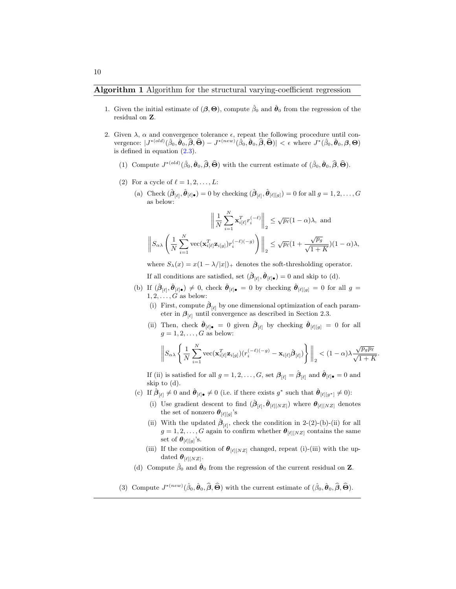- <span id="page-9-0"></span>1. Given the initial estimate of  $(\beta, \Theta)$ , compute  $\hat{\beta}_0$  and  $\hat{\theta}_0$  from the regression of the residual on Z.
- 2. Given  $\lambda$ ,  $\alpha$  and convergence tolerance  $\epsilon$ , repeat the following procedure until convergence:  $|J^{*(old)}(\hat{\beta}_0, \hat{\theta}_0, \hat{\beta}, \hat{\Theta}) - J^{*(new)}(\hat{\beta}_0, \hat{\theta}_0, \hat{\beta}, \hat{\Theta})| < \epsilon$  where  $J^*(\hat{\beta}_0, \hat{\theta}_0, \beta, \Theta)$ is defined in equation [\(2.3\)](#page-7-0).
	- (1) Compute  $J^{*(old)}(\hat{\beta}_0, \hat{\theta}_0, \widehat{\beta}, \widehat{\Theta})$  with the current estimate of  $(\hat{\beta}_0, \hat{\theta}_0, \widehat{\beta}, \widehat{\Theta})$ .
	- (2) For a cycle of  $\ell = 1, 2, \ldots, L$ :
		- (a) Check  $(\hat{\boldsymbol{\beta}}_{[\ell]}, \hat{\boldsymbol{\theta}}_{[\ell]}_{\bullet}) = 0$  by checking  $(\hat{\boldsymbol{\beta}}_{[\ell]}, \hat{\boldsymbol{\theta}}_{[\ell][g]}) = 0$  for all  $g = 1, 2, ..., G$ as below:

$$
\left\| \frac{1}{N} \sum_{i=1}^{N} \mathbf{x}_{i\ell}^T r_i^{(-\ell)} \right\|_2 \le \sqrt{p_\ell} (1 - \alpha) \lambda, \text{ and}
$$

$$
\left\| S_{\alpha\lambda} \left( \frac{1}{N} \sum_{i=1}^{N} \text{vec}(\mathbf{x}_{i\ell}^T | \mathbf{z}_{i[g]}) r_i^{(-\ell)(-g)} \right) \right\|_2 \le \sqrt{p_\ell} (1 + \frac{\sqrt{p_g}}{\sqrt{1 + K}}) (1 - \alpha) \lambda,
$$

where  $S_{\lambda}(x) = x(1 - \lambda/|x|)_{+}$  denotes the soft-thresholding operator.

If all conditions are satisfied, set  $(\hat{\boldsymbol{\beta}}_{[\ell]}, \hat{\boldsymbol{\theta}}_{[\ell] \bullet}) = 0$  and skip to (d).

- (b) If  $(\hat{\boldsymbol{\beta}}_{[\ell]}, \hat{\boldsymbol{\theta}}_{[\ell] \bullet}) \neq 0$ , check  $\hat{\boldsymbol{\theta}}_{[\ell] \bullet} = 0$  by checking  $\hat{\boldsymbol{\theta}}_{[\ell][g]} = 0$  for all  $g =$  $1, 2, \ldots, G$  as below:
	- (i) First, compute  $\hat{\beta}_{\lbrack \ell \rbrack}$  by one dimensional optimization of each parameter in  $\beta_{\left[\ell\right]}$  until convergence as described in Section 2.3.
	- (ii) Then, check  $\hat{\theta}_{[\ell]}$  = 0 given  $\hat{\beta}_{[\ell]}$  by checking  $\hat{\theta}_{[\ell][g]} = 0$  for all  $q = 1, 2, \ldots, G$  as below:

$$
\left\|S_{\alpha\lambda}\left\{\frac{1}{N}\sum_{i=1}^N \text{vec}(\mathbf{x}_{i[\ell]}^T\mathbf{z}_{i[g]}) (r_i^{(-\ell)(-g)} - \mathbf{x}_{i[\ell]}\hat{\boldsymbol{\beta}}_{[\ell]})\right\}\right\|_2 < (1-\alpha)\lambda \frac{\sqrt{p_g p_\ell}}{\sqrt{1+K}}
$$

.

If (ii) is satisfied for all  $g = 1, 2, ..., G$ , set  $\beta_{[\ell]} = \hat{\beta}_{[\ell]}$  and  $\hat{\theta}_{[\ell]} \bullet = 0$  and skip to (d).

- (c) If  $\hat{\boldsymbol{\beta}}_{[\ell]} \neq 0$  and  $\hat{\boldsymbol{\theta}}_{[\ell] \bullet} \neq 0$  (i.e. if there exists  $g^*$  such that  $\hat{\boldsymbol{\theta}}_{[\ell][g^*]} \neq 0$ ):
	- (i) Use gradient descent to find  $(\hat{\boldsymbol{\beta}}_{[\ell]}, \hat{\boldsymbol{\theta}}_{[\ell][NZ]})$  where  $\boldsymbol{\theta}_{[\ell][NZ]}$  denotes the set of nonzero  $\theta_{[\ell][g]}$ 's
	- (ii) With the updated  $\hat{\beta}_{\lbrack \ell \rbrack}$ , check the condition in 2-(2)-(b)-(ii) for all  $g = 1, 2, \ldots, G$  again to confirm whether  $\theta_{\lbrack \ell \rbrack \lbrack NZ \rbrack}$  contains the same set of  $\boldsymbol{\theta}_{[\ell][g]}$ 's.
	- (iii) If the composition of  $\theta_{\lbrack \ell \rbrack [NZ]}$  changed, repeat (i)-(iii) with the updated  $\boldsymbol{\theta}_{[\ell][NZ]}$ .
- (d) Compute  $\hat{\beta}_0$  and  $\hat{\boldsymbol{\theta}}_0$  from the regression of the current residual on **Z**.
- (3) Compute  $J^{*(new)}(\hat{\beta}_0, \hat{\boldsymbol{\theta}}_0, \hat{\boldsymbol{\beta}}, \hat{\boldsymbol{\Theta}})$  with the current estimate of  $(\hat{\beta}_0, \hat{\boldsymbol{\theta}}_0, \hat{\boldsymbol{\beta}}, \hat{\boldsymbol{\Theta}})$ .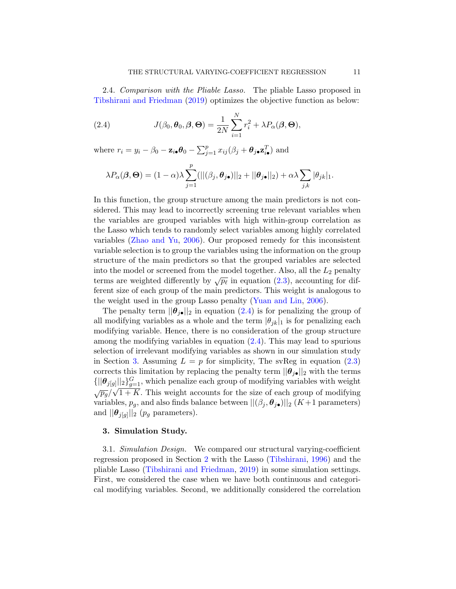2.4. Comparison with the Pliable Lasso. The pliable Lasso proposed in [Tibshirani and Friedman](#page-25-8) [\(2019\)](#page-25-8) optimizes the objective function as below:

<span id="page-10-1"></span>(2.4) 
$$
J(\beta_0, \boldsymbol{\theta}_0, \boldsymbol{\beta}, \boldsymbol{\Theta}) = \frac{1}{2N} \sum_{i=1}^N r_i^2 + \lambda P_\alpha(\boldsymbol{\beta}, \boldsymbol{\Theta}),
$$

where  $r_i = y_i - \beta_0 - \mathbf{z}_{i\bullet} \boldsymbol{\theta}_0 - \sum_{j=1}^p x_{ij} (\beta_j + \boldsymbol{\theta}_{j\bullet} \mathbf{z}_{i\bullet}^T)$  and

$$
\lambda P_{\alpha}(\boldsymbol{\beta},\boldsymbol{\Theta}) = (1-\alpha)\lambda \sum_{j=1}^{p} (||(\beta_j,\boldsymbol{\theta}_{j\bullet})||_2 + ||\boldsymbol{\theta}_{j\bullet}||_2) + \alpha\lambda \sum_{j,k} |\theta_{jk}|_1.
$$

In this function, the group structure among the main predictors is not considered. This may lead to incorrectly screening true relevant variables when the variables are grouped variables with high within-group correlation as the Lasso which tends to randomly select variables among highly correlated variables [\(Zhao and Yu,](#page-25-9) [2006\)](#page-25-9). Our proposed remedy for this inconsistent variable selection is to group the variables using the information on the group structure of the main predictors so that the grouped variables are selected into the model or screened from the model together. Also, all the  $L_2$  penalty terms are weighted differently by  $\sqrt{p_\ell}$  in equation [\(2.3\)](#page-7-0), accounting for different size of each group of the main predictors. This weight is analogous to the weight used in the group Lasso penalty [\(Yuan and Lin,](#page-25-10) [2006\)](#page-25-10).

The penalty term  $||\boldsymbol{\theta}_{j\bullet}||_2$  in equation [\(2.4\)](#page-10-1) is for penalizing the group of all modifying variables as a whole and the term  $|\theta_{ik}|_1$  is for penalizing each modifying variable. Hence, there is no consideration of the group structure among the modifying variables in equation [\(2.4\)](#page-10-1). This may lead to spurious selection of irrelevant modifying variables as shown in our simulation study in Section [3.](#page-10-0) Assuming  $L = p$  for simplicity, The svReg in equation [\(2.3\)](#page-7-0) corrects this limitation by replacing the penalty term  $||\boldsymbol{\theta}_{j\bullet}||_2$  with the terms  $\{||\boldsymbol{\theta}_{j[g]}||_2\}_{g=1}^G$ , which penalize each group of modifying variables with weight  $\sqrt{p_g}/\sqrt{1+K}$ . This weight accounts for the size of each group of modifying variables,  $p_g$ , and also finds balance between  $||(\beta_j, \theta_{j\bullet})||_2$  (K+1 parameters) and  $||\boldsymbol{\theta}_{j[g]}||_2$  ( $p_g$  parameters).

### <span id="page-10-0"></span>3. Simulation Study.

3.1. Simulation Design. We compared our structural varying-coefficient regression proposed in Section [2](#page-5-0) with the Lasso [\(Tibshirani,](#page-25-13) [1996\)](#page-25-13) and the pliable Lasso [\(Tibshirani and Friedman,](#page-25-8) [2019\)](#page-25-8) in some simulation settings. First, we considered the case when we have both continuous and categorical modifying variables. Second, we additionally considered the correlation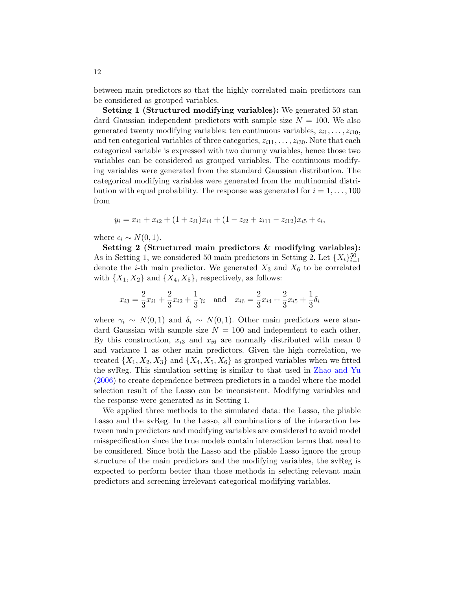between main predictors so that the highly correlated main predictors can be considered as grouped variables.

Setting 1 (Structured modifying variables): We generated 50 standard Gaussian independent predictors with sample size  $N = 100$ . We also generated twenty modifying variables: ten continuous variables,  $z_{i1}, \ldots, z_{i10}$ , and ten categorical variables of three categories,  $z_{i11}, \ldots, z_{i30}$ . Note that each categorical variable is expressed with two dummy variables, hence those two variables can be considered as grouped variables. The continuous modifying variables were generated from the standard Gaussian distribution. The categorical modifying variables were generated from the multinomial distribution with equal probability. The response was generated for  $i = 1, \ldots, 100$ from

$$
y_i = x_{i1} + x_{i2} + (1 + z_{i1})x_{i4} + (1 - z_{i2} + z_{i11} - z_{i12})x_{i5} + \epsilon_i,
$$

where  $\epsilon_i \sim N(0, 1)$ .

Setting 2 (Structured main predictors & modifying variables): As in Setting 1, we considered 50 main predictors in Setting 2. Let  $\{X_i\}_{i=1}^{50}$ denote the *i*-th main predictor. We generated  $X_3$  and  $X_6$  to be correlated with  $\{X_1, X_2\}$  and  $\{X_4, X_5\}$ , respectively, as follows:

$$
x_{i3} = \frac{2}{3}x_{i1} + \frac{2}{3}x_{i2} + \frac{1}{3}\gamma_i \quad \text{and} \quad x_{i6} = \frac{2}{3}x_{i4} + \frac{2}{3}x_{i5} + \frac{1}{3}\delta_i
$$

where  $\gamma_i \sim N(0, 1)$  and  $\delta_i \sim N(0, 1)$ . Other main predictors were standard Gaussian with sample size  $N = 100$  and independent to each other. By this construction,  $x_{i3}$  and  $x_{i6}$  are normally distributed with mean 0 and variance 1 as other main predictors. Given the high correlation, we treated  $\{X_1, X_2, X_3\}$  and  $\{X_4, X_5, X_6\}$  as grouped variables when we fitted the svReg. This simulation setting is similar to that used in [Zhao and Yu](#page-25-9) [\(2006\)](#page-25-9) to create dependence between predictors in a model where the model selection result of the Lasso can be inconsistent. Modifying variables and the response were generated as in Setting 1.

We applied three methods to the simulated data: the Lasso, the pliable Lasso and the svReg. In the Lasso, all combinations of the interaction between main predictors and modifying variables are considered to avoid model misspecification since the true models contain interaction terms that need to be considered. Since both the Lasso and the pliable Lasso ignore the group structure of the main predictors and the modifying variables, the svReg is expected to perform better than those methods in selecting relevant main predictors and screening irrelevant categorical modifying variables.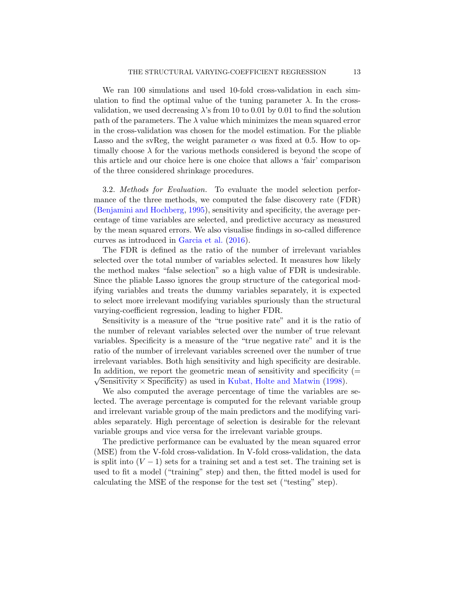We ran 100 simulations and used 10-fold cross-validation in each simulation to find the optimal value of the tuning parameter  $\lambda$ . In the crossvalidation, we used decreasing  $\lambda$ 's from 10 to 0.01 by 0.01 to find the solution path of the parameters. The  $\lambda$  value which minimizes the mean squared error in the cross-validation was chosen for the model estimation. For the pliable Lasso and the svReg, the weight parameter  $\alpha$  was fixed at 0.5. How to optimally choose  $\lambda$  for the various methods considered is beyond the scope of this article and our choice here is one choice that allows a 'fair' comparison of the three considered shrinkage procedures.

3.2. Methods for Evaluation. To evaluate the model selection performance of the three methods, we computed the false discovery rate (FDR) [\(Benjamini and Hochberg,](#page-24-13) [1995\)](#page-24-13), sensitivity and specificity, the average percentage of time variables are selected, and predictive accuracy as measured by the mean squared errors. We also visualise findings in so-called difference curves as introduced in [Garcia et al.](#page-24-14) [\(2016\)](#page-24-14).

The FDR is defined as the ratio of the number of irrelevant variables selected over the total number of variables selected. It measures how likely the method makes "false selection" so a high value of FDR is undesirable. Since the pliable Lasso ignores the group structure of the categorical modifying variables and treats the dummy variables separately, it is expected to select more irrelevant modifying variables spuriously than the structural varying-coefficient regression, leading to higher FDR.

Sensitivity is a measure of the "true positive rate" and it is the ratio of the number of relevant variables selected over the number of true relevant variables. Specificity is a measure of the "true negative rate" and it is the ratio of the number of irrelevant variables screened over the number of true irrelevant variables. Both high sensitivity and high specificity are desirable. In addition, we report the geometric mean of sensitivity and specificity (=  $\sqrt{2}$  $\sqrt{\text{Sensitivity}} \times \text{Specificity}$  as used in [Kubat, Holte and Matwin](#page-24-15) [\(1998\)](#page-24-15).

We also computed the average percentage of time the variables are selected. The average percentage is computed for the relevant variable group and irrelevant variable group of the main predictors and the modifying variables separately. High percentage of selection is desirable for the relevant variable groups and vice versa for the irrelevant variable groups.

The predictive performance can be evaluated by the mean squared error (MSE) from the V-fold cross-validation. In V-fold cross-validation, the data is split into  $(V - 1)$  sets for a training set and a test set. The training set is used to fit a model ("training" step) and then, the fitted model is used for calculating the MSE of the response for the test set ("testing" step).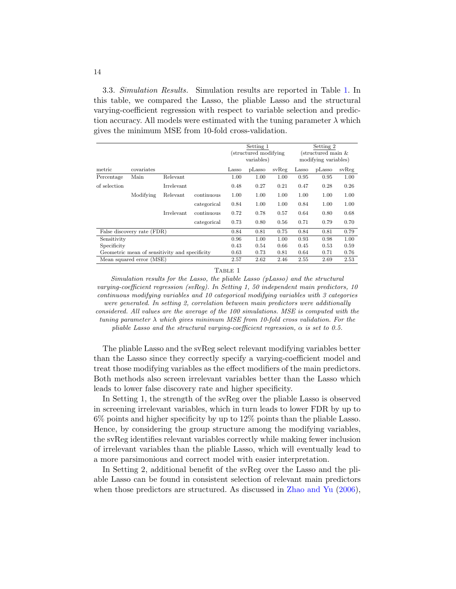3.3. Simulation Results. Simulation results are reported in Table [1.](#page-13-0) In this table, we compared the Lasso, the pliable Lasso and the structural varying-coefficient regression with respect to variable selection and prediction accuracy. All models were estimated with the tuning parameter  $\lambda$  which gives the minimum MSE from 10-fold cross-validation.

|                                               |            |            |             | Setting 1<br>(structured modifying)<br>variables) |        |       | Setting 2<br>(structured main & |        |       |  |
|-----------------------------------------------|------------|------------|-------------|---------------------------------------------------|--------|-------|---------------------------------|--------|-------|--|
|                                               |            |            |             |                                                   |        |       |                                 |        |       |  |
|                                               |            |            |             |                                                   |        |       | modifying variables)            |        |       |  |
| metric                                        | covariates |            |             | Lasso                                             | pLasso | svReg | Lasso                           | pLasso | svReg |  |
| Percentage                                    | Main       | Relevant   |             | 1.00                                              | 1.00   | 1.00  | 0.95                            | 0.95   | 1.00  |  |
| of selection                                  |            | Irrelevant |             | 0.48                                              | 0.27   | 0.21  | 0.47                            | 0.28   | 0.26  |  |
|                                               | Modifying  | Relevant   | continuous  | 1.00                                              | 1.00   | 1.00  | 1.00                            | 1.00   | 1.00  |  |
|                                               |            |            | categorical | 0.84                                              | 1.00   | 1.00  | 0.84                            | 1.00   | 1.00  |  |
|                                               |            | Irrelevant | continuous  | 0.72                                              | 0.78   | 0.57  | 0.64                            | 0.80   | 0.68  |  |
|                                               |            |            | categorical | 0.73                                              | 0.80   | 0.56  | 0.71                            | 0.79   | 0.70  |  |
| False discovery rate (FDR)                    |            |            |             | 0.84                                              | 0.81   | 0.75  | 0.84                            | 0.81   | 0.79  |  |
| Sensitivity                                   |            |            |             | 0.96                                              | 1.00   | 1.00  | 0.93                            | 0.98   | 1.00  |  |
| Specificity                                   |            |            |             |                                                   | 0.54   | 0.66  | 0.45                            | 0.53   | 0.59  |  |
| Geometric mean of sensitivity and specificity |            |            |             | 0.63                                              | 0.73   | 0.81  | 0.64                            | 0.71   | 0.76  |  |
| Mean squared error (MSE)                      |            |            |             | 2.57                                              | 2.62   | 2.46  | 2.55                            | 2.69   | 2.53  |  |

<span id="page-13-0"></span>TABLE 1

Simulation results for the Lasso, the pliable Lasso (pLasso) and the structural varying-coefficient regression (svReg). In Setting 1, 50 independent main predictors, 10 continuous modifying variables and 10 categorical modifying variables with 3 categories were generated. In setting 2, correlation between main predictors were additionally considered. All values are the average of the 100 simulations. MSE is computed with the tuning parameter  $\lambda$  which gives minimum MSE from 10-fold cross validation. For the pliable Lasso and the structural varying-coefficient regression,  $\alpha$  is set to 0.5.

The pliable Lasso and the svReg select relevant modifying variables better than the Lasso since they correctly specify a varying-coefficient model and treat those modifying variables as the effect modifiers of the main predictors. Both methods also screen irrelevant variables better than the Lasso which leads to lower false discovery rate and higher specificity.

In Setting 1, the strength of the svReg over the pliable Lasso is observed in screening irrelevant variables, which in turn leads to lower FDR by up to 6% points and higher specificity by up to 12% points than the pliable Lasso. Hence, by considering the group structure among the modifying variables, the svReg identifies relevant variables correctly while making fewer inclusion of irrelevant variables than the pliable Lasso, which will eventually lead to a more parsimonious and correct model with easier interpretation.

In Setting 2, additional benefit of the svReg over the Lasso and the pliable Lasso can be found in consistent selection of relevant main predictors when those predictors are structured. As discussed in [Zhao and Yu](#page-25-9) [\(2006\)](#page-25-9),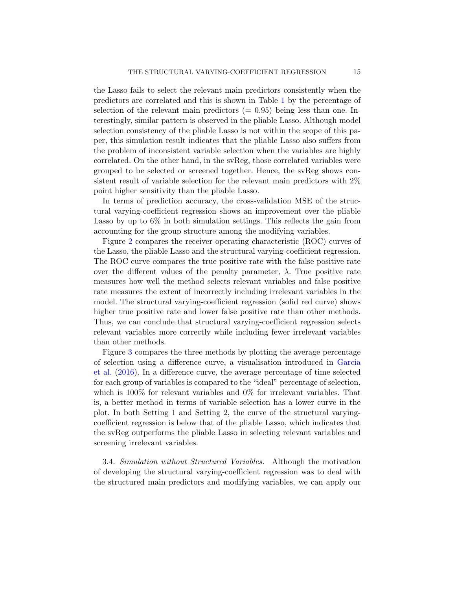the Lasso fails to select the relevant main predictors consistently when the predictors are correlated and this is shown in Table [1](#page-13-0) by the percentage of selection of the relevant main predictors  $(= 0.95)$  being less than one. Interestingly, similar pattern is observed in the pliable Lasso. Although model selection consistency of the pliable Lasso is not within the scope of this paper, this simulation result indicates that the pliable Lasso also suffers from the problem of inconsistent variable selection when the variables are highly correlated. On the other hand, in the svReg, those correlated variables were grouped to be selected or screened together. Hence, the svReg shows consistent result of variable selection for the relevant main predictors with 2% point higher sensitivity than the pliable Lasso.

In terms of prediction accuracy, the cross-validation MSE of the structural varying-coefficient regression shows an improvement over the pliable Lasso by up to 6% in both simulation settings. This reflects the gain from accounting for the group structure among the modifying variables.

Figure [2](#page-15-0) compares the receiver operating characteristic (ROC) curves of the Lasso, the pliable Lasso and the structural varying-coefficient regression. The ROC curve compares the true positive rate with the false positive rate over the different values of the penalty parameter,  $\lambda$ . True positive rate measures how well the method selects relevant variables and false positive rate measures the extent of incorrectly including irrelevant variables in the model. The structural varying-coefficient regression (solid red curve) shows higher true positive rate and lower false positive rate than other methods. Thus, we can conclude that structural varying-coefficient regression selects relevant variables more correctly while including fewer irrelevant variables than other methods.

Figure [3](#page-16-0) compares the three methods by plotting the average percentage of selection using a difference curve, a visualisation introduced in [Garcia](#page-24-14) [et al.](#page-24-14) [\(2016\)](#page-24-14). In a difference curve, the average percentage of time selected for each group of variables is compared to the "ideal" percentage of selection, which is 100% for relevant variables and 0% for irrelevant variables. That is, a better method in terms of variable selection has a lower curve in the plot. In both Setting 1 and Setting 2, the curve of the structural varyingcoefficient regression is below that of the pliable Lasso, which indicates that the svReg outperforms the pliable Lasso in selecting relevant variables and screening irrelevant variables.

3.4. Simulation without Structured Variables. Although the motivation of developing the structural varying-coefficient regression was to deal with the structured main predictors and modifying variables, we can apply our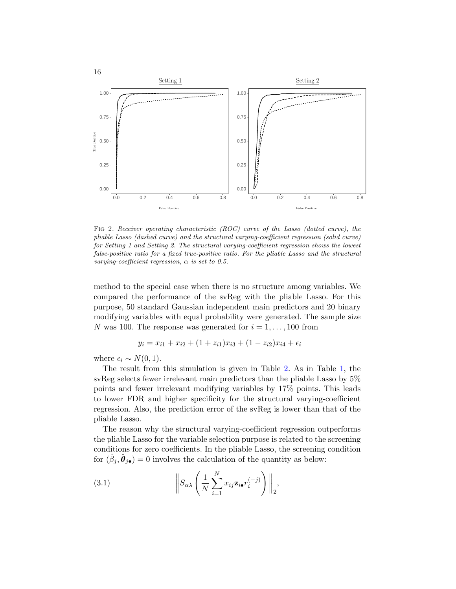

<span id="page-15-0"></span>Fig 2. Receiver operating characteristic (ROC) curve of the Lasso (dotted curve), the pliable Lasso (dashed curve) and the structural varying-coefficient regression (solid curve) for Setting 1 and Setting 2. The structural varying-coefficient regression shows the lowest false-positive ratio for a fixed true-positive ratio. For the pliable Lasso and the structural varying-coefficient regression,  $\alpha$  is set to 0.5.

method to the special case when there is no structure among variables. We compared the performance of the svReg with the pliable Lasso. For this purpose, 50 standard Gaussian independent main predictors and 20 binary modifying variables with equal probability were generated. The sample size N was 100. The response was generated for  $i = 1, \ldots, 100$  from

$$
y_i = x_{i1} + x_{i2} + (1 + z_{i1})x_{i3} + (1 - z_{i2})x_{i4} + \epsilon_i
$$

where  $\epsilon_i \sim N(0, 1)$ .

The result from this simulation is given in Table [2.](#page-17-0) As in Table [1,](#page-13-0) the svReg selects fewer irrelevant main predictors than the pliable Lasso by 5% points and fewer irrelevant modifying variables by 17% points. This leads to lower FDR and higher specificity for the structural varying-coefficient regression. Also, the prediction error of the svReg is lower than that of the pliable Lasso.

The reason why the structural varying-coefficient regression outperforms the pliable Lasso for the variable selection purpose is related to the screening conditions for zero coefficients. In the pliable Lasso, the screening condition for  $(\hat{\beta}_j, \hat{\theta}_{j\bullet}) = 0$  involves the calculation of the quantity as below:

<span id="page-15-1"></span>(3.1) 
$$
\left\|S_{\alpha\lambda}\left(\frac{1}{N}\sum_{i=1}^N x_{ij}\mathbf{z}_{i\bullet}r_i^{(-j)}\right)\right\|_2,
$$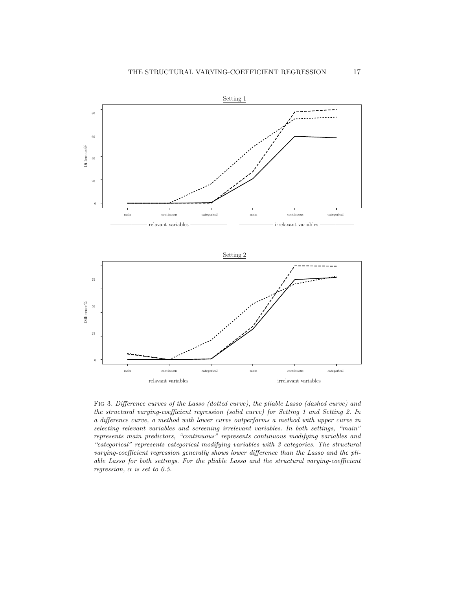

<span id="page-16-0"></span>Fig 3. Difference curves of the Lasso (dotted curve), the pliable Lasso (dashed curve) and the structural varying-coefficient regression (solid curve) for Setting 1 and Setting 2. In a difference curve, a method with lower curve outperforms a method with upper curve in selecting relevant variables and screening irrelevant variables. In both settings, "main" represents main predictors, "continuous" represents continuous modifying variables and "categorical" represents categorical modifying variables with 3 categories. The structural varying-coefficient regression generally shows lower difference than the Lasso and the pliable Lasso for both settings. For the pliable Lasso and the structural varying-coefficient regression,  $\alpha$  is set to 0.5.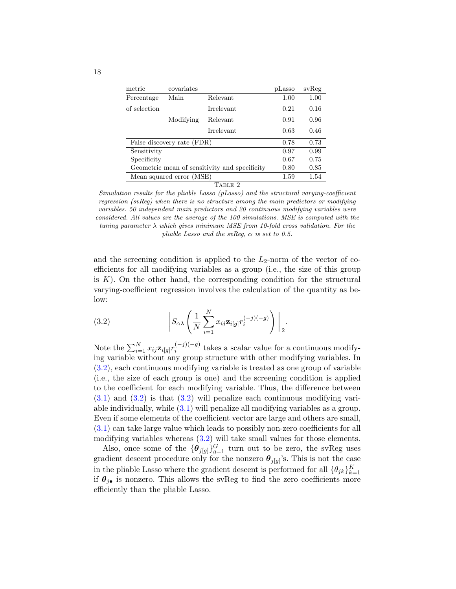<span id="page-17-0"></span>

| metric                                        | covariates |            | pLasso | svReg |  |  |
|-----------------------------------------------|------------|------------|--------|-------|--|--|
| Percentage                                    | Main       | Relevant   | 1.00   | 1.00  |  |  |
| of selection                                  |            | Irrelevant | 0.21   | 0.16  |  |  |
|                                               | Modifying  | Relevant   | 0.91   | 0.96  |  |  |
|                                               |            | Irrelevant | 0.63   | 0.46  |  |  |
| False discovery rate (FDR)                    | 0.78       | 0.73       |        |       |  |  |
| Sensitivity                                   |            |            | 0.97   | 0.99  |  |  |
| Specificity                                   | 0.67       | 0.75       |        |       |  |  |
| Geometric mean of sensitivity and specificity | 0.80       | 0.85       |        |       |  |  |
| Mean squared error (MSE)                      |            |            | 1.59   | 1.54  |  |  |
| TABLE 2                                       |            |            |        |       |  |  |

Simulation results for the pliable Lasso (pLasso) and the structural varying-coefficient regression (svReg) when there is no structure among the main predictors or modifying variables. 50 independent main predictors and 20 continuous modifying variables were considered. All values are the average of the 100 simulations. MSE is computed with the tuning parameter  $\lambda$  which gives minimum MSE from 10-fold cross validation. For the pliable Lasso and the svReg,  $\alpha$  is set to 0.5.

and the screening condition is applied to the  $L_2$ -norm of the vector of coefficients for all modifying variables as a group (i.e., the size of this group is  $K$ ). On the other hand, the corresponding condition for the structural varying-coefficient regression involves the calculation of the quantity as below:

<span id="page-17-1"></span>(3.2) 
$$
\left\|S_{\alpha\lambda}\left(\frac{1}{N}\sum_{i=1}^N x_{ij}\mathbf{z}_{i[g]}r_i^{(-j)(-g)}\right)\right\|_2.
$$

Note the  $\sum_{i=1}^{N} x_{ij} \mathbf{z}_{i[g]} r_i^{(-j)(-g)}$  $\sum_{i=1}^{(n-1)(n-1)}$  takes a scalar value for a continuous modifying variable without any group structure with other modifying variables. In [\(3.2\)](#page-17-1), each continuous modifying variable is treated as one group of variable (i.e., the size of each group is one) and the screening condition is applied to the coefficient for each modifying variable. Thus, the difference between  $(3.1)$  and  $(3.2)$  is that  $(3.2)$  will penalize each continuous modifying variable individually, while [\(3.1\)](#page-15-1) will penalize all modifying variables as a group. Even if some elements of the coefficient vector are large and others are small, [\(3.1\)](#page-15-1) can take large value which leads to possibly non-zero coefficients for all modifying variables whereas  $(3.2)$  will take small values for those elements.

Also, once some of the  $\{\boldsymbol{\theta}_{j[g]}\}_{g=1}^G$  turn out to be zero, the svReg uses gradient descent procedure only for the nonzero  $\boldsymbol{\theta}_{j[g]}$ 's. This is not the case in the pliable Lasso where the gradient descent is performed for all  $\{\theta_{jk}\}_{k=1}^K$ if  $\theta_{i\bullet}$  is nonzero. This allows the svReg to find the zero coefficients more efficiently than the pliable Lasso.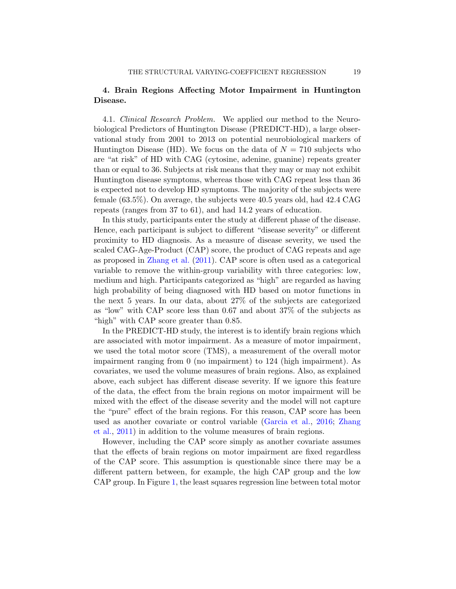# 4. Brain Regions Affecting Motor Impairment in Huntington Disease.

4.1. Clinical Research Problem. We applied our method to the Neurobiological Predictors of Huntington Disease (PREDICT-HD), a large observational study from 2001 to 2013 on potential neurobiological markers of Huntington Disease (HD). We focus on the data of  $N = 710$  subjects who are "at risk" of HD with CAG (cytosine, adenine, guanine) repeats greater than or equal to 36. Subjects at risk means that they may or may not exhibit Huntington disease symptoms, whereas those with CAG repeat less than 36 is expected not to develop HD symptoms. The majority of the subjects were female (63.5%). On average, the subjects were 40.5 years old, had 42.4 CAG repeats (ranges from 37 to 61), and had 14.2 years of education.

In this study, participants enter the study at different phase of the disease. Hence, each participant is subject to different "disease severity" or different proximity to HD diagnosis. As a measure of disease severity, we used the scaled CAG-Age-Product (CAP) score, the product of CAG repeats and age as proposed in [Zhang et al.](#page-25-14) [\(2011\)](#page-25-14). CAP score is often used as a categorical variable to remove the within-group variability with three categories: low, medium and high. Participants categorized as "high" are regarded as having high probability of being diagnosed with HD based on motor functions in the next 5 years. In our data, about 27% of the subjects are categorized as "low" with CAP score less than 0.67 and about 37% of the subjects as "high" with CAP score greater than 0.85.

In the PREDICT-HD study, the interest is to identify brain regions which are associated with motor impairment. As a measure of motor impairment, we used the total motor score (TMS), a measurement of the overall motor impairment ranging from 0 (no impairment) to 124 (high impairment). As covariates, we used the volume measures of brain regions. Also, as explained above, each subject has different disease severity. If we ignore this feature of the data, the effect from the brain regions on motor impairment will be mixed with the effect of the disease severity and the model will not capture the "pure" effect of the brain regions. For this reason, CAP score has been used as another covariate or control variable [\(Garcia et al.,](#page-24-14) [2016;](#page-24-14) [Zhang](#page-25-14) [et al.,](#page-25-14) [2011\)](#page-25-14) in addition to the volume measures of brain regions.

However, including the CAP score simply as another covariate assumes that the effects of brain regions on motor impairment are fixed regardless of the CAP score. This assumption is questionable since there may be a different pattern between, for example, the high CAP group and the low CAP group. In Figure [1,](#page-2-0) the least squares regression line between total motor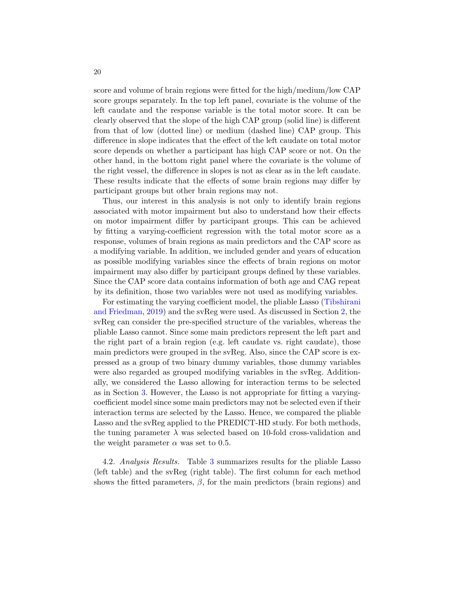score and volume of brain regions were fitted for the high/medium/low CAP score groups separately. In the top left panel, covariate is the volume of the left caudate and the response variable is the total motor score. It can be clearly observed that the slope of the high CAP group (solid line) is different from that of low (dotted line) or medium (dashed line) CAP group. This difference in slope indicates that the effect of the left caudate on total motor score depends on whether a participant has high CAP score or not. On the other hand, in the bottom right panel where the covariate is the volume of the right vessel, the difference in slopes is not as clear as in the left caudate. These results indicate that the effects of some brain regions may differ by participant groups but other brain regions may not.

Thus, our interest in this analysis is not only to identify brain regions associated with motor impairment but also to understand how their effects on motor impairment differ by participant groups. This can be achieved by fitting a varying-coefficient regression with the total motor score as a response, volumes of brain regions as main predictors and the CAP score as a modifying variable. In addition, we included gender and years of education as possible modifying variables since the effects of brain regions on motor impairment may also differ by participant groups defined by these variables. Since the CAP score data contains information of both age and CAG repeat by its definition, those two variables were not used as modifying variables.

For estimating the varying coefficient model, the pliable Lasso [\(Tibshirani](#page-25-8) [and Friedman,](#page-25-8) [2019\)](#page-25-8) and the svReg were used. As discussed in Section [2,](#page-5-0) the svReg can consider the pre-specified structure of the variables, whereas the pliable Lasso cannot. Since some main predictors represent the left part and the right part of a brain region (e.g. left caudate vs. right caudate), those main predictors were grouped in the svReg. Also, since the CAP score is expressed as a group of two binary dummy variables, those dummy variables were also regarded as grouped modifying variables in the svReg. Additionally, we considered the Lasso allowing for interaction terms to be selected as in Section [3.](#page-10-0) However, the Lasso is not appropriate for fitting a varyingcoefficient model since some main predictors may not be selected even if their interaction terms are selected by the Lasso. Hence, we compared the pliable Lasso and the svReg applied to the PREDICT-HD study. For both methods, the tuning parameter  $\lambda$  was selected based on 10-fold cross-validation and the weight parameter  $\alpha$  was set to 0.5.

4.2. Analysis Results. Table [3](#page-22-0) summarizes results for the pliable Lasso (left table) and the svReg (right table). The first column for each method shows the fitted parameters,  $\beta$ , for the main predictors (brain regions) and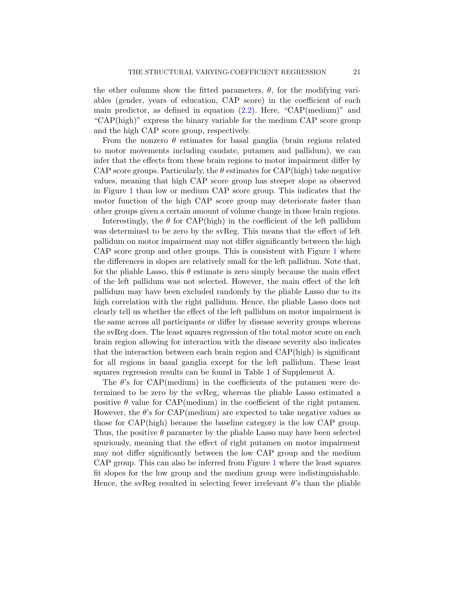the other columns show the fitted parameters,  $\theta$ , for the modifying variables (gender, years of education, CAP score) in the coefficient of each main predictor, as defined in equation  $(2.2)$ . Here, "CAP(medium)" and "CAP(high)" express the binary variable for the medium CAP score group and the high CAP score group, respectively.

From the nonzero  $\theta$  estimates for basal ganglia (brain regions related to motor movements including caudate, putamen and pallidum), we can infer that the effects from these brain regions to motor impairment differ by CAP score groups. Particularly, the  $\theta$  estimates for CAP(high) take negative values, meaning that high CAP score group has steeper slope as observed in Figure [1](#page-2-0) than low or medium CAP score group. This indicates that the motor function of the high CAP score group may deteriorate faster than other groups given a certain amount of volume change in those brain regions.

Interestingly, the  $\theta$  for CAP(high) in the coefficient of the left pallidum was determined to be zero by the svReg. This means that the effect of left pallidum on motor impairment may not differ significantly between the high CAP score group and other groups. This is consistent with Figure [1](#page-2-0) where the differences in slopes are relatively small for the left pallidum. Note that, for the pliable Lasso, this  $\theta$  estimate is zero simply because the main effect of the left pallidum was not selected. However, the main effect of the left pallidum may have been excluded randomly by the pliable Lasso due to its high correlation with the right pallidum. Hence, the pliable Lasso does not clearly tell us whether the effect of the left pallidum on motor impairment is the same across all participants or differ by disease severity groups whereas the svReg does. The least squares regression of the total motor score on each brain region allowing for interaction with the disease severity also indicates that the interaction between each brain region and CAP(high) is significant for all regions in basal ganglia except for the left pallidum. These least squares regression results can be found in Table 1 of Supplement A.

The  $\theta$ 's for CAP(medium) in the coefficients of the putamen were determined to be zero by the svReg, whereas the pliable Lasso estimated a positive  $\theta$  value for CAP(medium) in the coefficient of the right putamen. However, the  $\theta$ 's for CAP(medium) are expected to take negative values as those for CAP(high) because the baseline category is the low CAP group. Thus, the positive  $\theta$  parameter by the pliable Lasso may have been selected spuriously, meaning that the effect of right putamen on motor impairment may not differ significantly between the low CAP group and the medium CAP group. This can also be inferred from Figure [1](#page-2-0) where the least squares fit slopes for the low group and the medium group were indistinguishable. Hence, the svReg resulted in selecting fewer irrelevant  $\theta$ 's than the pliable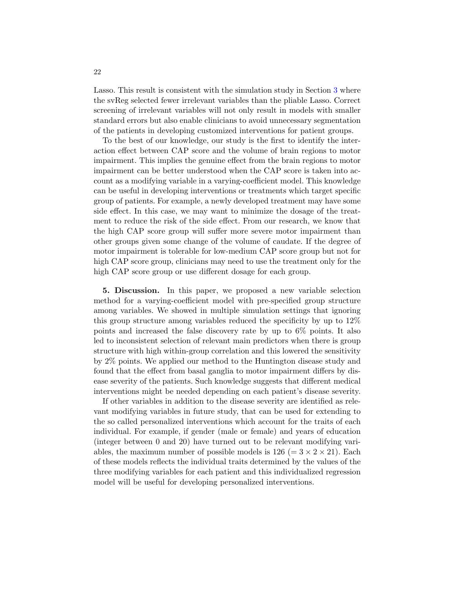Lasso. This result is consistent with the simulation study in Section [3](#page-10-0) where the svReg selected fewer irrelevant variables than the pliable Lasso. Correct screening of irrelevant variables will not only result in models with smaller standard errors but also enable clinicians to avoid unnecessary segmentation of the patients in developing customized interventions for patient groups.

To the best of our knowledge, our study is the first to identify the interaction effect between CAP score and the volume of brain regions to motor impairment. This implies the genuine effect from the brain regions to motor impairment can be better understood when the CAP score is taken into account as a modifying variable in a varying-coefficient model. This knowledge can be useful in developing interventions or treatments which target specific group of patients. For example, a newly developed treatment may have some side effect. In this case, we may want to minimize the dosage of the treatment to reduce the risk of the side effect. From our research, we know that the high CAP score group will suffer more severe motor impairment than other groups given some change of the volume of caudate. If the degree of motor impairment is tolerable for low-medium CAP score group but not for high CAP score group, clinicians may need to use the treatment only for the high CAP score group or use different dosage for each group.

5. Discussion. In this paper, we proposed a new variable selection method for a varying-coefficient model with pre-specified group structure among variables. We showed in multiple simulation settings that ignoring this group structure among variables reduced the specificity by up to 12% points and increased the false discovery rate by up to 6% points. It also led to inconsistent selection of relevant main predictors when there is group structure with high within-group correlation and this lowered the sensitivity by 2% points. We applied our method to the Huntington disease study and found that the effect from basal ganglia to motor impairment differs by disease severity of the patients. Such knowledge suggests that different medical interventions might be needed depending on each patient's disease severity.

If other variables in addition to the disease severity are identified as relevant modifying variables in future study, that can be used for extending to the so called personalized interventions which account for the traits of each individual. For example, if gender (male or female) and years of education (integer between 0 and 20) have turned out to be relevant modifying variables, the maximum number of possible models is  $126 (= 3 \times 2 \times 21)$ . Each of these models reflects the individual traits determined by the values of the three modifying variables for each patient and this individualized regression model will be useful for developing personalized interventions.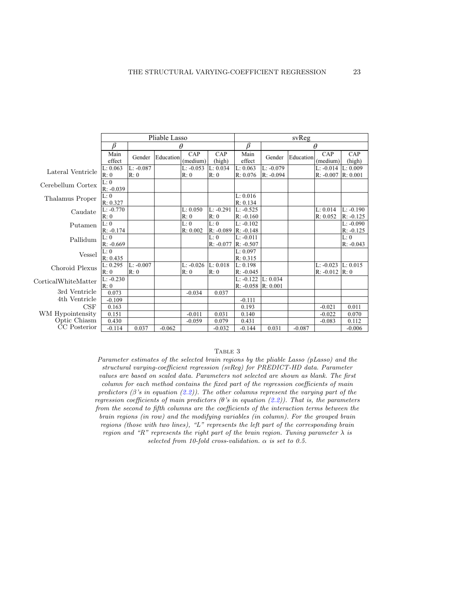|                              | Pliable Lasso       |                    |           |                     | svReg               |                                     |                            |           |                            |                            |
|------------------------------|---------------------|--------------------|-----------|---------------------|---------------------|-------------------------------------|----------------------------|-----------|----------------------------|----------------------------|
|                              | ß                   | θ                  |           |                     | β                   | θ                                   |                            |           |                            |                            |
|                              | Main<br>effect      | Gender             | Education | CAP<br>(medium)     | CAP<br>(high)       | Main<br>effect                      | Gender                     | Education | CAP<br>(medium)            | CAP<br>(high)              |
| Lateral Ventricle            | L: 0.063<br>R: 0    | $L: -0.087$<br>R:0 |           | $L: -0.053$<br>R: 0 | L: 0.034<br>R: 0    | L: 0.063<br>R: 0.076                | $L: -0.079$<br>$R: -0.094$ |           | $L: -0.014$<br>$R: -0.007$ | L: 0.009<br>R: 0.001       |
| Cerebellum Cortex            | L: 0<br>$R: -0.039$ |                    |           |                     |                     |                                     |                            |           |                            |                            |
| Thalamus Proper              | L: 0<br>R: 0.327    |                    |           |                     |                     | L: 0.016<br>R: 0.134                |                            |           |                            |                            |
| Caudate                      | L: -0.770<br>R:0    |                    |           | L: 0.050<br>R: 0    | $L: -0.291$<br>R: 0 | $L: -0.525$<br>$R: -0.160$          |                            |           | L: 0.014<br>R: 0.052       | $L: -0.190$<br>$R: -0.125$ |
| Putamen                      | L: 0<br>R: -0.174   |                    |           | L: 0<br>R: 0.002    | L: 0<br>R: -0.089   | $L: -0.102$<br>$R: -0.148$          |                            |           |                            | $L: -0.090$<br>$R: -0.125$ |
| Pallidum                     | L: 0<br>$R: -0.669$ |                    |           |                     | L: 0<br>$R: -0.077$ | $L: -0.011$<br>$R: -0.507$          |                            |           |                            | L: 0<br>$R: -0.043$        |
| <b>Vessel</b>                | L: 0<br>R: 0.435    |                    |           |                     |                     | L: 0.097<br>R: 0.315                |                            |           |                            |                            |
| Choroid Plexus               | L: 0.295<br>R:0     | L: -0.007<br>R:0   |           | $L: -0.026$<br>R: 0 | L: 0.018<br>R: 0    | L: 0.198<br>$R: -0.045$             |                            |           | $L: -0.023$<br>$R: -0.012$ | L: 0.015<br>R:0            |
| CorticalWhiteMatter          | $L: -0.230$<br>R: 0 |                    |           |                     |                     | $L: -0.122$<br>$R: -0.058$ R: 0.001 | L: 0.034                   |           |                            |                            |
| 3rd Ventricle                | 0.073               |                    |           | $-0.034$            | 0.037               |                                     |                            |           |                            |                            |
| 4th Ventricle                | $-0.109$            |                    |           |                     |                     | $-0.111$                            |                            |           |                            |                            |
| CSF                          | 0.163               |                    |           |                     |                     | 0.193                               |                            |           | $-0.021$                   | 0.011                      |
| WM Hypointensity             | 0.151               |                    |           | $-0.011$            | 0.031               | 0.140                               |                            |           | $-0.022$                   | 0.070                      |
| Optic Chiasm<br>CC Posterior | 0.430<br>$-0.114$   | 0.037              | $-0.062$  | $-0.059$            | 0.079<br>$-0.032$   | 0.431<br>$-0.144$                   | 0.031                      | $-0.087$  | $-0.083$                   | 0.112<br>$-0.006$          |

#### TABLE 3

<span id="page-22-0"></span>Parameter estimates of the selected brain regions by the pliable Lasso (pLasso) and the structural varying-coefficient regression (svReg) for PREDICT-HD data. Parameter values are based on scaled data. Parameters not selected are shown as blank. The first column for each method contains the fixed part of the regression coefficients of main predictors ( $\beta$ 's in equation [\(2.2\)](#page-6-0)). The other columns represent the varying part of the regression coefficients of main predictors  $(\theta's$  in equation  $(2.2)$ ). That is, the parameters from the second to fifth columns are the coefficients of the interaction terms between the brain regions (in row) and the modifying variables (in column). For the grouped brain regions (those with two lines), "L" represents the left part of the corresponding brain region and "R" represents the right part of the brain region. Tuning parameter  $\lambda$  is selected from 10-fold cross-validation.  $\alpha$  is set to 0.5.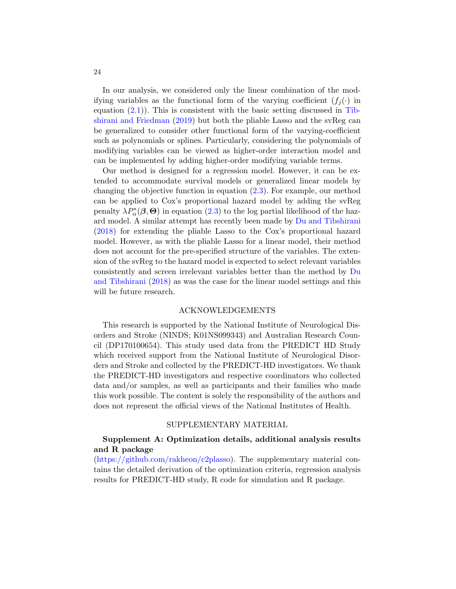In our analysis, we considered only the linear combination of the modifying variables as the functional form of the varying coefficient  $(f_i(\cdot))$  in equation  $(2.1)$ ). This is consistent with the basic setting discussed in [Tib](#page-25-8)[shirani and Friedman](#page-25-8) [\(2019\)](#page-25-8) but both the pliable Lasso and the svReg can be generalized to consider other functional form of the varying-coefficient such as polynomials or splines. Particularly, considering the polynomials of modifying variables can be viewed as higher-order interaction model and can be implemented by adding higher-order modifying variable terms.

Our method is designed for a regression model. However, it can be extended to accommodate survival models or generalized linear models by changing the objective function in equation [\(2.3\)](#page-7-0). For example, our method can be applied to Cox's proportional hazard model by adding the svReg penalty  $\lambda P_{\alpha}^{*}(\boldsymbol{\beta},\boldsymbol{\Theta})$  in equation  $(2.3)$  to the log partial likelihood of the hazard model. A similar attempt has recently been made by [Du and Tibshirani](#page-24-16) [\(2018\)](#page-24-16) for extending the pliable Lasso to the Cox's proportional hazard model. However, as with the pliable Lasso for a linear model, their method does not account for the pre-specified structure of the variables. The extension of the svReg to the hazard model is expected to select relevant variables consistently and screen irrelevant variables better than the method by [Du](#page-24-16) [and Tibshirani](#page-24-16) [\(2018\)](#page-24-16) as was the case for the linear model settings and this will be future research.

### ACKNOWLEDGEMENTS

This research is supported by the National Institute of Neurological Disorders and Stroke (NINDS; K01NS099343) and Australian Research Council (DP170100654). This study used data from the PREDICT HD Study which received support from the National Institute of Neurological Disorders and Stroke and collected by the PREDICT-HD investigators. We thank the PREDICT-HD investigators and respective coordinators who collected data and/or samples, as well as participants and their families who made this work possible. The content is solely the responsibility of the authors and does not represent the official views of the National Institutes of Health.

#### SUPPLEMENTARY MATERIAL

# Supplement A: Optimization details, additional analysis results and R package

[\(https://github.com/rakheon/c2plasso\)](https://github.com/rakheon/c2plasso). The supplementary material contains the detailed derivation of the optimization criteria, regression analysis results for PREDICT-HD study, R code for simulation and R package.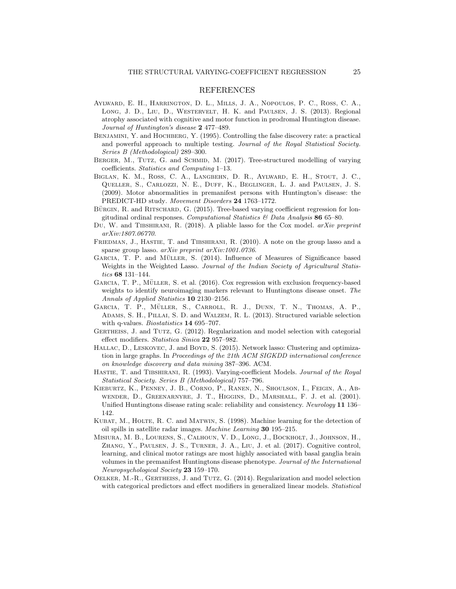#### REFERENCES

- <span id="page-24-1"></span>Aylward, E. H., Harrington, D. L., Mills, J. A., Nopoulos, P. C., Ross, C. A., Long, J. D., Liu, D., Westervelt, H. K. and Paulsen, J. S. (2013). Regional atrophy associated with cognitive and motor function in prodromal Huntington disease. Journal of Huntington's disease 2 477–489.
- <span id="page-24-13"></span>BENJAMINI, Y. and HOCHBERG, Y. (1995). Controlling the false discovery rate: a practical and powerful approach to multiple testing. Journal of the Royal Statistical Society. Series B (Methodological) 289–300.
- <span id="page-24-7"></span>BERGER, M., TUTZ, G. and SCHMID, M. (2017). Tree-structured modelling of varying coefficients. Statistics and Computing 1–13.
- <span id="page-24-0"></span>Biglan, K. M., Ross, C. A., Langbehn, D. R., Aylward, E. H., Stout, J. C., Queller, S., Carlozzi, N. E., Duff, K., Beglinger, L. J. and Paulsen, J. S. (2009). Motor abnormalities in premanifest persons with Huntington's disease: the PREDICT-HD study. Movement Disorders 24 1763–1772.
- <span id="page-24-8"></span>BÜRGIN, R. and RITSCHARD, G. (2015). Tree-based varying coefficient regression for longitudinal ordinal responses. Computational Statistics  $\mathcal B$  Data Analysis 86 65–80.
- <span id="page-24-16"></span>Du, W. and TIBSHIRANI, R. (2018). A pliable lasso for the Cox model. arXiv preprint arXiv:1807.06770.
- <span id="page-24-12"></span>FRIEDMAN, J., HASTIE, T. and TIBSHIRANI, R. (2010). A note on the group lasso and a sparse group lasso. arXiv preprint arXiv:1001.0736.
- <span id="page-24-10"></span>GARCIA, T. P. and MÜLLER, S. (2014). Influence of Measures of Significance based Weights in the Weighted Lasso. Journal of the Indian Society of Agricultural Statistics 68 131–144.
- <span id="page-24-14"></span>GARCIA, T. P., MÜLLER, S. et al. (2016). Cox regression with exclusion frequency-based weights to identify neuroimaging markers relevant to Huntingtons disease onset. The Annals of Applied Statistics 10 2130–2156.
- <span id="page-24-11"></span>GARCIA, T. P., MÜLLER, S., CARROLL, R. J., DUNN, T. N., THOMAS, A. P., Adams, S. H., Pillai, S. D. and Walzem, R. L. (2013). Structured variable selection with q-values. *Biostatistics* **14** 695–707.
- <span id="page-24-5"></span>GERTHEISS, J. and TUTZ, G. (2012). Regularization and model selection with categorial effect modifiers. Statistica Sinica 22 957–982.
- <span id="page-24-9"></span>HALLAC, D., LESKOVEC, J. and BOYD, S. (2015). Network lasso: Clustering and optimization in large graphs. In Proceedings of the 21th ACM SIGKDD international conference on knowledge discovery and data mining 387–396. ACM.
- <span id="page-24-3"></span>HASTIE, T. and TIBSHIRANI, R. (1993). Varying-coefficient Models. Journal of the Royal Statistical Society. Series B (Methodological) 757–796.
- <span id="page-24-2"></span>Kieburtz, K., Penney, J. B., Corno, P., Ranen, N., Shoulson, I., Feigin, A., Abwender, D., Greenarnyre, J. T., Higgins, D., Marshall, F. J. et al. (2001). Unified Huntingtons disease rating scale: reliability and consistency. Neurology 11 136– 142.
- <span id="page-24-15"></span>KUBAT, M., HOLTE, R. C. and MATWIN, S. (1998). Machine learning for the detection of oil spills in satellite radar images. Machine Learning 30 195–215.
- <span id="page-24-4"></span>Misiura, M. B., Lourens, S., Calhoun, V. D., Long, J., Bockholt, J., Johnson, H., Zhang, Y., Paulsen, J. S., Turner, J. A., Liu, J. et al. (2017). Cognitive control, learning, and clinical motor ratings are most highly associated with basal ganglia brain volumes in the premanifest Huntingtons disease phenotype. Journal of the International Neuropsychological Society 23 159–170.
- <span id="page-24-6"></span>Oelker, M.-R., Gertheiss, J. and Tutz, G. (2014). Regularization and model selection with categorical predictors and effect modifiers in generalized linear models. Statistical